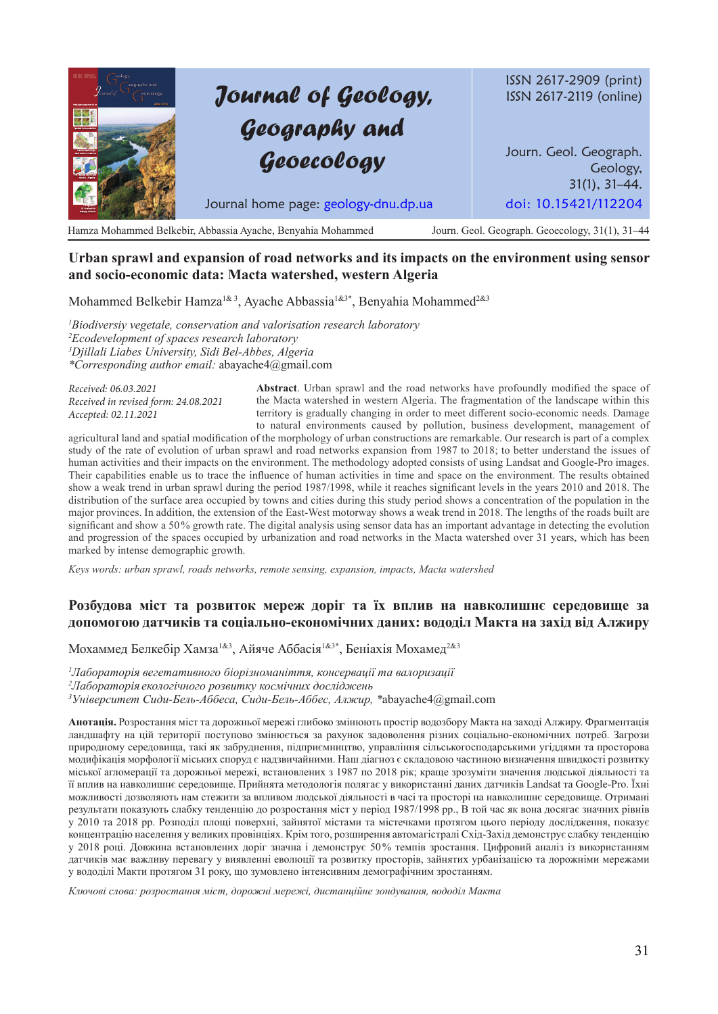# *Journal of Geology, Geography and Geoecology*

ISSN 2617-2909 (print) ISSN 2617-2119 (online)

Journ. Geol. Geograph. Geology, 31(1), 31–44. Journal home page: geology-dnu.dp.ua doi: 10.15421/112204

Hamza Mohammed Belkebir, Abbassia Ayache, Benyahia Mohammed Journ. Geol. Geograph. Geoecology, 31(1), 31–44

# **Urban sprawl and expansion of road networks and its impacts on the environment using sensor and socio-economic data: Macta watershed, western Algeria**

Mohammed Belkebir Hamza<sup>1& 3</sup>, Ayache Abbassia<sup>1&3\*</sup>, Benyahia Mohammed<sup>2&3</sup>

 *Biodiversiy vegetale, conservation and valorisation research laboratory Ecodevelopment of spaces research laboratory Djillali Liabes University, Sidi Bel-Abbes, Algeria \*Corresponding author email:* abayache4@gmail.com

*Received: 06.03.2021 Received in revised form: 24.08.2021 Accepted: 02.11.2021*

**Abstract**. Urban sprawl and the road networks have profoundly modified the space of the Macta watershed in western Algeria. The fragmentation of the landscape within this territory is gradually changing in order to meet different socio-economic needs. Damage to natural environments caused by pollution, business development, management of

agricultural land and spatial modification of the morphology of urban constructions are remarkable. Our research is part of a complex study of the rate of evolution of urban sprawl and road networks expansion from 1987 to 2018; to better understand the issues of human activities and their impacts on the environment. The methodology adopted consists of using Landsat and Google-Pro images. Their capabilities enable us to trace the influence of human activities in time and space on the environment. The results obtained show a weak trend in urban sprawl during the period 1987/1998, while it reaches significant levels in the years 2010 and 2018. The distribution of the surface area occupied by towns and cities during this study period shows a concentration of the population in the major provinces. In addition, the extension of the East-West motorway shows a weak trend in 2018. The lengths of the roads built are significant and show a 50% growth rate. The digital analysis using sensor data has an important advantage in detecting the evolution and progression of the spaces occupied by urbanization and road networks in the Macta watershed over 31 years, which has been marked by intense demographic growth.

*Keys words: urban sprawl, roads networks, remote sensing, expansion, impacts, Macta watershed*

## **Розбудова міст та розвиток мереж доріг та їх вплив на навколишнє середовище за допомогою датчиків та соціально-економічних даних: вододіл Макта на захід від Алжиру**

Мохаммед Белкебір Хамза1&3, Айяче Аббасія1&3\*, Беніахія Мохамед2&3

*1 Лабораторія вегетативного біорізноманіття, консервації та валоризації*

*2 Лабораторія екологічного розвитку космічних досліджень*

*3 Університет Сиди-Бель-Аббеса, Сиди-Бель-Аббес, Алжир, \**abayache4@gmail.com

**Анотація.** Розростання міст та дорожньої мережі глибоко змінюють простір водозбору Макта на заході Алжиру. Фрагментація ландшафту на цій території поступово змінюється за рахунок задоволення різних соціально-економічних потреб. Загрози природному середовища, такі як забруднення, підприємництво, управління сільськогосподарськими угіддями та просторова модифікація морфології міських споруд є надзвичайними. Наш діагноз є складовою частиною визначення швидкості розвитку міської агломерації та дорожньої мережі, встановлених з 1987 по 2018 рік; краще зрозуміти значення людської діяльності та її вплив на навколишнє середовище. Прийнята методологія полягає у використанні даних датчиків Landsat та Google-Pro. Їхні можливості дозволяють нам стежити за впливом людської діяльності в часі та просторі на навколишнє середовище. Отримані результати показують слабку тенденцію до розростання міст у період 1987/1998 рр., В той час як вона досягає значних рівнів у 2010 та 2018 рр. Розподіл площі поверхні, зайнятої містами та містечками протягом цього періоду дослідження, показує концентрацію населення у великих провінціях. Крім того, розширення автомагістралі Схід-Захід демонструє слабку тенденцію у 2018 році. Довжина встановлених доріг значна і демонструє 50% темпів зростання. Цифровий аналіз із використанням датчиків має важливу перевагу у виявленні еволюції та розвитку просторів, зайнятих урбанізацією та дорожніми мережами у вододілі Макти протягом 31 року, що зумовлено інтенсивним демографічним зростанням.

*Ключові слова: розростання міст, дорожні мережі, дистанційне зондування, вододіл Maктa*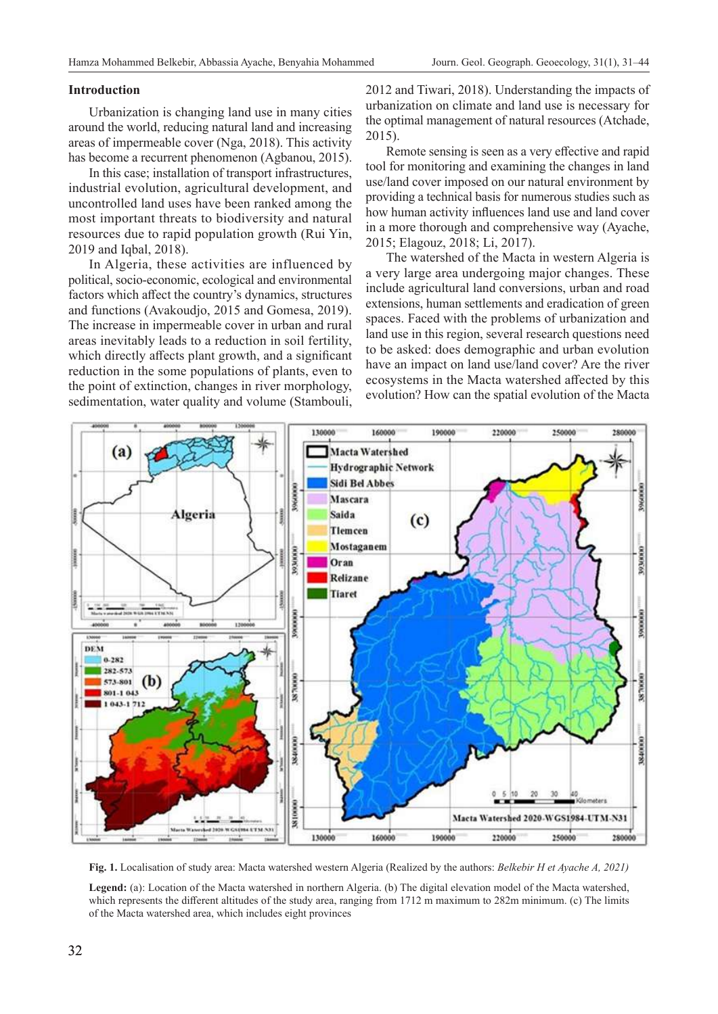## **Introduction**

Urbanization is changing land use in many cities around the world, reducing natural land and increasing areas of impermeable cover (Nga, 2018). This activity has become a recurrent phenomenon (Agbanou, 2015).

In this case; installation of transport infrastructures, industrial evolution, agricultural development, and uncontrolled land uses have been ranked among the most important threats to biodiversity and natural resources due to rapid population growth (Rui Yin, 2019 and Iqbal, 2018).

In Algeria, these activities are influenced by political, socio-economic, ecological and environmental factors which affect the country's dynamics, structures and functions (Avakoudjo, 2015 and Gomesa, 2019). The increase in impermeable cover in urban and rural areas inevitably leads to a reduction in soil fertility, which directly affects plant growth, and a significant reduction in the some populations of plants, even to the point of extinction, changes in river morphology, sedimentation, water quality and volume (Stambouli,

2012 and Tiwari, 2018). Understanding the impacts of urbanization on climate and land use is necessary for the optimal management of natural resources (Atchade, 2015).

Remote sensing is seen as a very effective and rapid tool for monitoring and examining the changes in land use/land cover imposed on our natural environment by providing a technical basis for numerous studies such as how human activity influences land use and land cover in a more thorough and comprehensive way (Ayache, 2015; Elagouz, 2018; Li, 2017).

The watershed of the Macta in western Algeria is a very large area undergoing major changes. These include agricultural land conversions, urban and road extensions, human settlements and eradication of green spaces. Faced with the problems of urbanization and land use in this region, several research questions need to be asked: does demographic and urban evolution have an impact on land use/land cover? Are the river ecosystems in the Macta watershed affected by this evolution? How can the spatial evolution of the Macta



**Fig. 1.** Localisation of study area: Macta watershed western Algeria (Realized by the authors: *Belkebir H et Ayache A, 2021)*

**Legend:** (a): Location of the Macta watershed in northern Algeria. (b) The digital elevation model of the Macta watershed, which represents the different altitudes of the study area, ranging from 1712 m maximum to 282m minimum. (c) The limits of the Macta watershed area, which includes eight provinces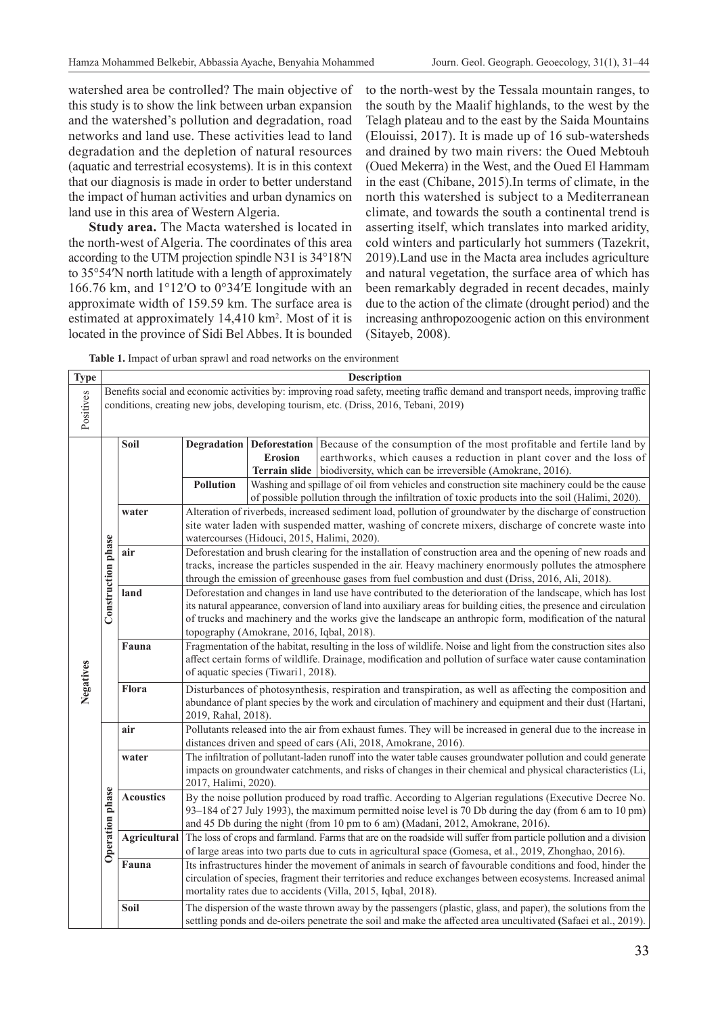watershed area be controlled? The main objective of this study is to show the link between urban expansion and the watershed's pollution and degradation, road networks and land use. These activities lead to land degradation and the depletion of natural resources (aquatic and terrestrial ecosystems). It is in this context that our diagnosis is made in order to better understand the impact of human activities and urban dynamics on land use in this area of Western Algeria.

**Study area.** The Macta watershed is located in the north-west of Algeria. The coordinates of this area according to the UTM projection spindle N31 is 34°18′N to 35°54′N north latitude with a length of approximately 166.76 km, and 1°12′O to 0°34′E longitude with an approximate width of 159.59 km. The surface area is estimated at approximately 14,410 km<sup>2</sup>. Most of it is located in the province of Sidi Bel Abbes. It is bounded

to the north-west by the Tessala mountain ranges, to the south by the Maalif highlands, to the west by the Telagh plateau and to the east by the Saida Mountains (Elouissi, 2017). It is made up of 16 sub-watersheds and drained by two main rivers: the Oued Mebtouh (Oued Mekerra) in the West, and the Oued El Hammam in the east (Chibane, 2015).In terms of climate, in the north this watershed is subject to a Mediterranean climate, and towards the south a continental trend is asserting itself, which translates into marked aridity, cold winters and particularly hot summers (Tazekrit, 2019).Land use in the Macta area includes agriculture and natural vegetation, the surface area of which has been remarkably degraded in recent decades, mainly due to the action of the climate (drought period) and the increasing anthropozoogenic action on this environment (Sitayeb, 2008).

**Table 1.** Impact of urban sprawl and road networks on the environment

| <b>Type</b> | <b>Description</b>     |                                                                                                                                                                                                                         |                                                                                                                                                                                                                                                                                                                                                                                           |                |                                                                                                                                                                                                                                                                                                                                                              |  |  |  |  |
|-------------|------------------------|-------------------------------------------------------------------------------------------------------------------------------------------------------------------------------------------------------------------------|-------------------------------------------------------------------------------------------------------------------------------------------------------------------------------------------------------------------------------------------------------------------------------------------------------------------------------------------------------------------------------------------|----------------|--------------------------------------------------------------------------------------------------------------------------------------------------------------------------------------------------------------------------------------------------------------------------------------------------------------------------------------------------------------|--|--|--|--|
| Positives   |                        | Benefits social and economic activities by: improving road safety, meeting traffic demand and transport needs, improving traffic<br>conditions, creating new jobs, developing tourism, etc. (Driss, 2016, Tebani, 2019) |                                                                                                                                                                                                                                                                                                                                                                                           |                |                                                                                                                                                                                                                                                                                                                                                              |  |  |  |  |
| Negatives   | Construction phase     | Soil                                                                                                                                                                                                                    | <b>Pollution</b>                                                                                                                                                                                                                                                                                                                                                                          | <b>Erosion</b> | Degradation   Deforestation   Because of the consumption of the most profitable and fertile land by<br>earthworks, which causes a reduction in plant cover and the loss of<br><b>Terrain slide</b> biodiversity, which can be irreversible (Amokrane, 2016).<br>Washing and spillage of oil from vehicles and construction site machinery could be the cause |  |  |  |  |
|             |                        | water                                                                                                                                                                                                                   | of possible pollution through the infiltration of toxic products into the soil (Halimi, 2020).<br>Alteration of riverbeds, increased sediment load, pollution of groundwater by the discharge of construction<br>site water laden with suspended matter, washing of concrete mixers, discharge of concrete waste into<br>watercourses (Hidouci, 2015, Halimi, 2020).                      |                |                                                                                                                                                                                                                                                                                                                                                              |  |  |  |  |
|             |                        | air                                                                                                                                                                                                                     | Deforestation and brush clearing for the installation of construction area and the opening of new roads and<br>tracks, increase the particles suspended in the air. Heavy machinery enormously pollutes the atmosphere<br>through the emission of greenhouse gases from fuel combustion and dust (Driss, 2016, Ali, 2018).                                                                |                |                                                                                                                                                                                                                                                                                                                                                              |  |  |  |  |
|             |                        | land                                                                                                                                                                                                                    | Deforestation and changes in land use have contributed to the deterioration of the landscape, which has lost<br>its natural appearance, conversion of land into auxiliary areas for building cities, the presence and circulation<br>of trucks and machinery and the works give the landscape an anthropic form, modification of the natural<br>topography (Amokrane, 2016, Iqbal, 2018). |                |                                                                                                                                                                                                                                                                                                                                                              |  |  |  |  |
|             |                        | Fauna                                                                                                                                                                                                                   | Fragmentation of the habitat, resulting in the loss of wildlife. Noise and light from the construction sites also<br>affect certain forms of wildlife. Drainage, modification and pollution of surface water cause contamination<br>of aquatic species (Tiwari1, 2018).                                                                                                                   |                |                                                                                                                                                                                                                                                                                                                                                              |  |  |  |  |
|             |                        | Flora                                                                                                                                                                                                                   | Disturbances of photosynthesis, respiration and transpiration, as well as affecting the composition and<br>abundance of plant species by the work and circulation of machinery and equipment and their dust (Hartani,<br>2019, Rahal, 2018).                                                                                                                                              |                |                                                                                                                                                                                                                                                                                                                                                              |  |  |  |  |
|             | <b>Operation phase</b> | air                                                                                                                                                                                                                     | Pollutants released into the air from exhaust fumes. They will be increased in general due to the increase in<br>distances driven and speed of cars (Ali, 2018, Amokrane, 2016).                                                                                                                                                                                                          |                |                                                                                                                                                                                                                                                                                                                                                              |  |  |  |  |
|             |                        | water                                                                                                                                                                                                                   | The infiltration of pollutant-laden runoff into the water table causes groundwater pollution and could generate<br>impacts on groundwater catchments, and risks of changes in their chemical and physical characteristics (Li,<br>2017, Halimi, 2020).                                                                                                                                    |                |                                                                                                                                                                                                                                                                                                                                                              |  |  |  |  |
|             |                        | <b>Acoustics</b>                                                                                                                                                                                                        | By the noise pollution produced by road traffic. According to Algerian regulations (Executive Decree No.<br>93–184 of 27 July 1993), the maximum permitted noise level is 70 Db during the day (from 6 am to 10 pm)<br>and 45 Db during the night (from 10 pm to 6 am) (Madani, 2012, Amokrane, 2016).                                                                                    |                |                                                                                                                                                                                                                                                                                                                                                              |  |  |  |  |
|             |                        |                                                                                                                                                                                                                         | Agricultural The loss of crops and farmland. Farms that are on the roadside will suffer from particle pollution and a division<br>of large areas into two parts due to cuts in agricultural space (Gomesa, et al., 2019, Zhonghao, 2016).                                                                                                                                                 |                |                                                                                                                                                                                                                                                                                                                                                              |  |  |  |  |
|             |                        | Fauna                                                                                                                                                                                                                   | Its infrastructures hinder the movement of animals in search of favourable conditions and food, hinder the<br>circulation of species, fragment their territories and reduce exchanges between ecosystems. Increased animal<br>mortality rates due to accidents (Villa, 2015, Iqbal, 2018).                                                                                                |                |                                                                                                                                                                                                                                                                                                                                                              |  |  |  |  |
|             |                        | Soil                                                                                                                                                                                                                    | The dispersion of the waste thrown away by the passengers (plastic, glass, and paper), the solutions from the<br>settling ponds and de-oilers penetrate the soil and make the affected area uncultivated (Safaei et al., 2019).                                                                                                                                                           |                |                                                                                                                                                                                                                                                                                                                                                              |  |  |  |  |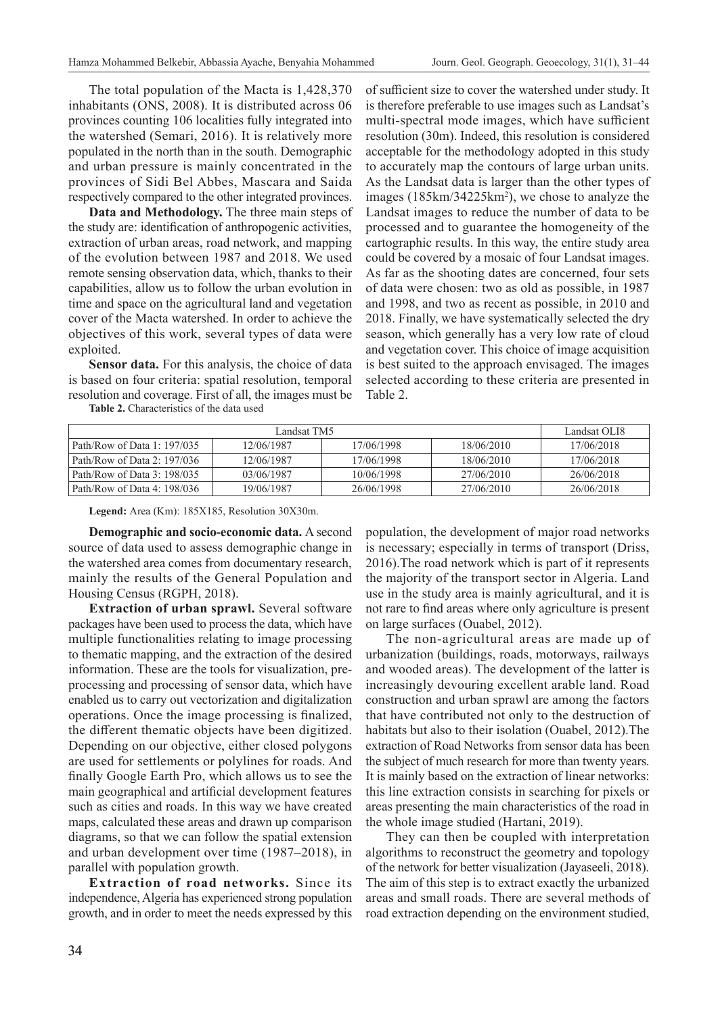The total population of the Macta is 1,428,370 inhabitants (ONS, 2008). It is distributed across 06 provinces counting 106 localities fully integrated into the watershed (Semari, 2016). It is relatively more populated in the north than in the south. Demographic and urban pressure is mainly concentrated in the provinces of Sidi Bel Abbes, Mascara and Saida respectively compared to the other integrated provinces.

**Data and Methodology.** The three main steps of the study are: identification of anthropogenic activities, extraction of urban areas, road network, and mapping of the evolution between 1987 and 2018. We used remote sensing observation data, which, thanks to their capabilities, allow us to follow the urban evolution in time and space on the agricultural land and vegetation cover of the Macta watershed. In order to achieve the objectives of this work, several types of data were exploited.

**Sensor data.** For this analysis, the choice of data is based on four criteria: spatial resolution, temporal resolution and coverage. First of all, the images must be **Table 2.** Characteristics of the data used

of sufficient size to cover the watershed under study. It is therefore preferable to use images such as Landsat's multi-spectral mode images, which have sufficient resolution (30m). Indeed, this resolution is considered acceptable for the methodology adopted in this study to accurately map the contours of large urban units. As the Landsat data is larger than the other types of images (185km/34225km<sup>2</sup>), we chose to analyze the Landsat images to reduce the number of data to be processed and to guarantee the homogeneity of the cartographic results. In this way, the entire study area could be covered by a mosaic of four Landsat images. As far as the shooting dates are concerned, four sets of data were chosen: two as old as possible, in 1987 and 1998, and two as recent as possible, in 2010 and 2018. Finally, we have systematically selected the dry season, which generally has a very low rate of cloud and vegetation cover. This choice of image acquisition is best suited to the approach envisaged. The images selected according to these criteria are presented in Table 2.

|                               | Landsat OLI8 |            |            |            |
|-------------------------------|--------------|------------|------------|------------|
| Path/Row of Data 1: 197/035   | 12/06/1987   | 17/06/1998 | 18/06/2010 | 17/06/2018 |
| Path/Row of Data 2: $197/036$ | 12/06/1987   | 17/06/1998 | 18/06/2010 | 17/06/2018 |
| Path/Row of Data $3:198/035$  | 03/06/1987   | 10/06/1998 | 27/06/2010 | 26/06/2018 |
| Path/Row of Data 4: $198/036$ | 19/06/1987   | 26/06/1998 | 27/06/2010 | 26/06/2018 |

**Legend:** Area (Km): 185X185, Resolution 30X30m.

**Demographic and socio-economic data.** A second source of data used to assess demographic change in the watershed area comes from documentary research, mainly the results of the General Population and Housing Census (RGPH, 2018).

**Extraction of urban sprawl.** Several software packages have been used to process the data, which have multiple functionalities relating to image processing to thematic mapping, and the extraction of the desired information. These are the tools for visualization, preprocessing and processing of sensor data, which have enabled us to carry out vectorization and digitalization operations. Once the image processing is finalized, the different thematic objects have been digitized. Depending on our objective, either closed polygons are used for settlements or polylines for roads. And finally Google Earth Pro, which allows us to see the main geographical and artificial development features such as cities and roads. In this way we have created maps, calculated these areas and drawn up comparison diagrams, so that we can follow the spatial extension and urban development over time (1987–2018), in parallel with population growth.

**Extraction of road networks.** Since its independence, Algeria has experienced strong population growth, and in order to meet the needs expressed by this population, the development of major road networks is necessary; especially in terms of transport (Driss, 2016).The road network which is part of it represents the majority of the transport sector in Algeria. Land use in the study area is mainly agricultural, and it is not rare to find areas where only agriculture is present on large surfaces (Ouabel, 2012).

The non-agricultural areas are made up of urbanization (buildings, roads, motorways, railways and wooded areas). The development of the latter is increasingly devouring excellent arable land. Road construction and urban sprawl are among the factors that have contributed not only to the destruction of habitats but also to their isolation (Ouabel, 2012).The extraction of Road Networks from sensor data has been the subject of much research for more than twenty years. It is mainly based on the extraction of linear networks: this line extraction consists in searching for pixels or areas presenting the main characteristics of the road in the whole image studied (Hartani, 2019).

They can then be coupled with interpretation algorithms to reconstruct the geometry and topology of the network for better visualization (Jayaseeli, 2018). The aim of this step is to extract exactly the urbanized areas and small roads. There are several methods of road extraction depending on the environment studied,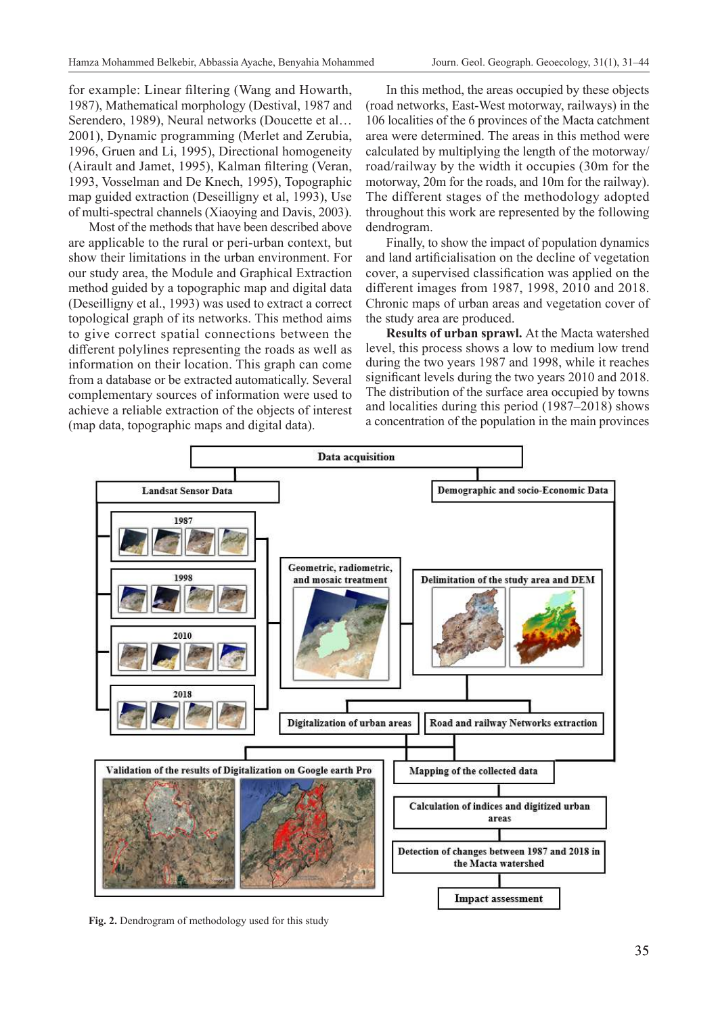for example: Linear filtering (Wang and Howarth, 1987), Mathematical morphology (Destival, 1987 and Serendero, 1989), Neural networks (Doucette et al… 2001), Dynamic programming (Merlet and Zerubia, 1996, Gruen and Li, 1995), Directional homogeneity (Airault and Jamet, 1995), Kalman filtering (Veran, 1993, Vosselman and De Knech, 1995), Topographic map guided extraction (Deseilligny et al, 1993), Use of multi-spectral channels (Xiaoying and Davis, 2003).

Most of the methods that have been described above are applicable to the rural or peri-urban context, but show their limitations in the urban environment. For our study area, the Module and Graphical Extraction method guided by a topographic map and digital data (Deseilligny et al., 1993) was used to extract a correct topological graph of its networks. This method aims to give correct spatial connections between the different polylines representing the roads as well as information on their location. This graph can come from a database or be extracted automatically. Several complementary sources of information were used to achieve a reliable extraction of the objects of interest (map data, topographic maps and digital data).

In this method, the areas occupied by these objects (road networks, East-West motorway, railways) in the 106 localities of the 6 provinces of the Macta catchment area were determined. The areas in this method were calculated by multiplying the length of the motorway/ road/railway by the width it occupies (30m for the motorway, 20m for the roads, and 10m for the railway). The different stages of the methodology adopted throughout this work are represented by the following dendrogram.

Finally, to show the impact of population dynamics and land artificialisation on the decline of vegetation cover, a supervised classification was applied on the different images from 1987, 1998, 2010 and 2018. Chronic maps of urban areas and vegetation cover of the study area are produced.

**Results of urban sprawl.** At the Macta watershed level, this process shows a low to medium low trend during the two years 1987 and 1998, while it reaches significant levels during the two years 2010 and 2018. The distribution of the surface area occupied by towns and localities during this period (1987–2018) shows a concentration of the population in the main provinces



**Fig. 2.** Dendrogram of methodology used for this study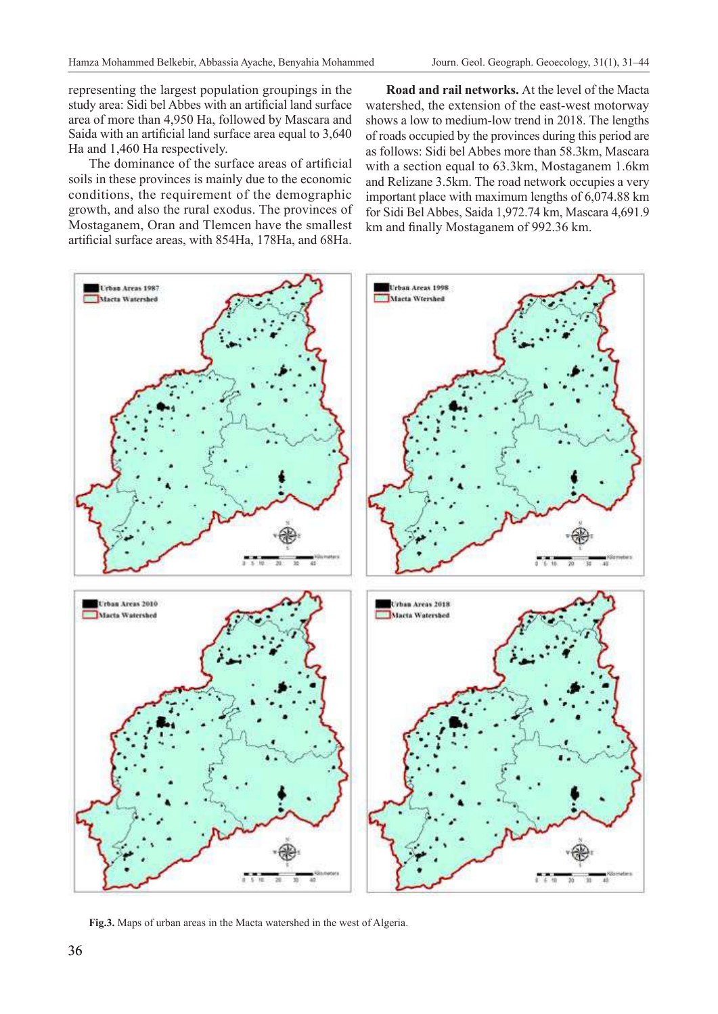representing the largest population groupings in the study area: Sidi bel Abbes with an artificial land surface area of more than 4,950 Ha, followed by Mascara and Saida with an artificial land surface area equal to 3,640 Ha and 1,460 Ha respectively.

The dominance of the surface areas of artificial soils in these provinces is mainly due to the economic conditions, the requirement of the demographic growth, and also the rural exodus. The provinces of Mostaganem, Oran and Tlemcen have the smallest artificial surface areas, with 854Ha, 178Ha, and 68Ha.

**Road and rail networks.** At the level of the Macta watershed, the extension of the east-west motorway shows a low to medium-low trend in 2018. The lengths of roads occupied by the provinces during this period are as follows: Sidi bel Abbes more than 58.3km, Mascara with a section equal to 63.3km, Mostaganem 1.6km and Relizane 3.5km. The road network occupies a very important place with maximum lengths of 6,074.88 km for Sidi Bel Abbes, Saida 1,972.74 km, Mascara 4,691.9 km and finally Mostaganem of 992.36 km.



**Fig.3.** Maps of urban areas in the Macta watershed in the west of Algeria.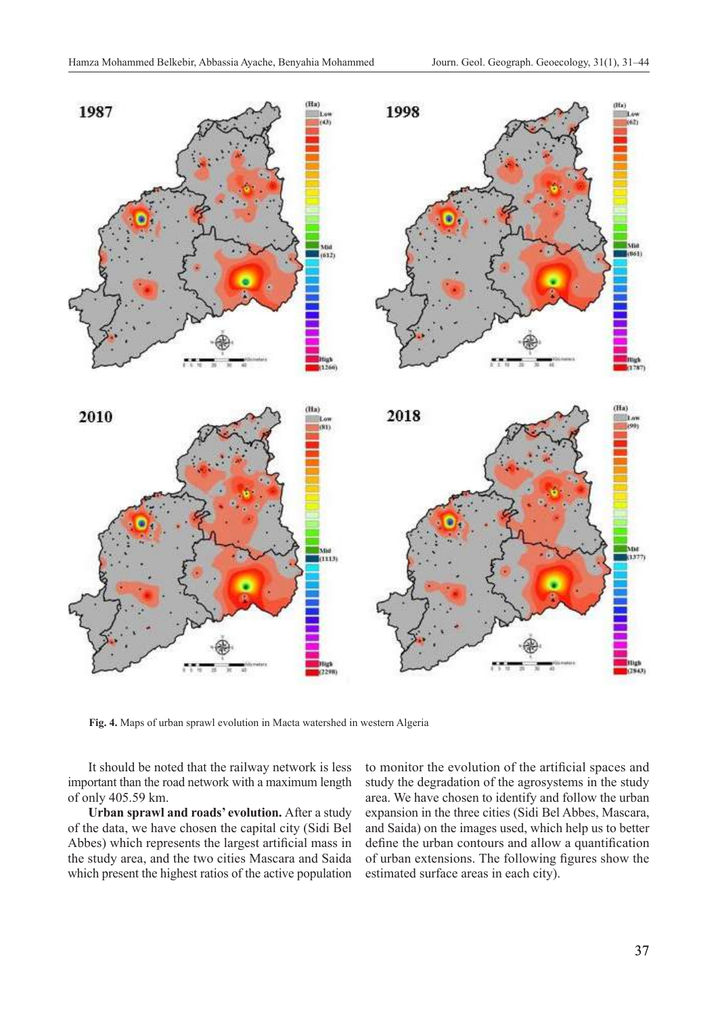

**Fig. 4.** Maps of urban sprawl evolution in Macta watershed in western Algeria

It should be noted that the railway network is less important than the road network with a maximum length of only 405.59 km.

**Urban sprawl and roads' evolution.** After a study of the data, we have chosen the capital city (Sidi Bel Abbes) which represents the largest artificial mass in the study area, and the two cities Mascara and Saida which present the highest ratios of the active population

to monitor the evolution of the artificial spaces and study the degradation of the agrosystems in the study area. We have chosen to identify and follow the urban expansion in the three cities (Sidi Bel Abbes, Mascara, and Saida) on the images used, which help us to better define the urban contours and allow a quantification of urban extensions. The following figures show the estimated surface areas in each city).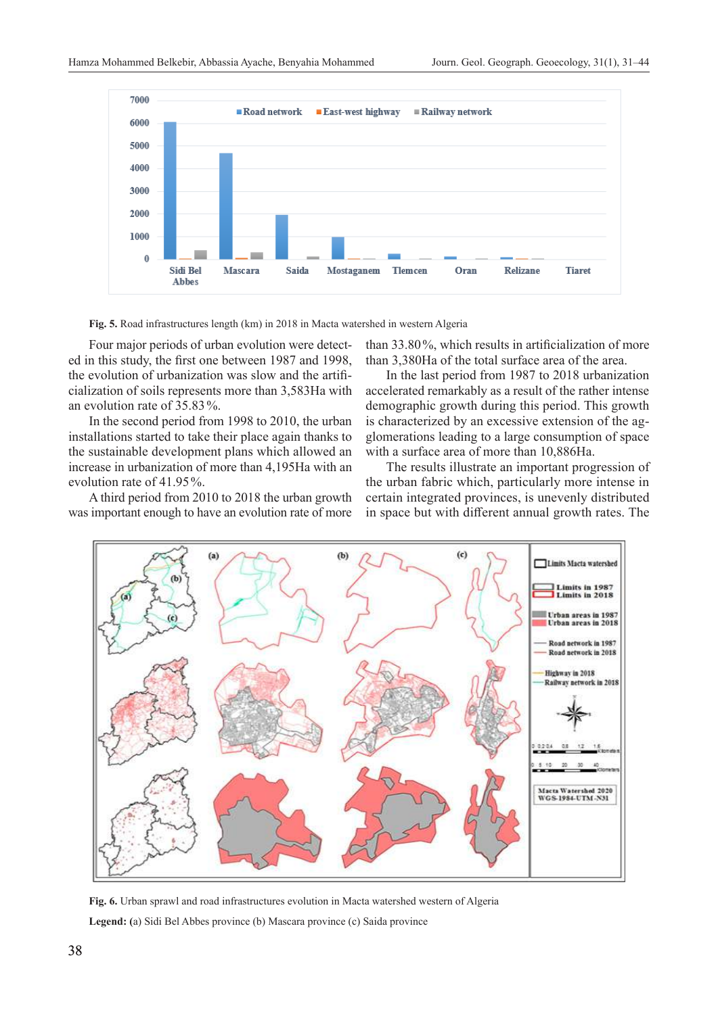

**Fig. 5.** Road infrastructures length (km) in 2018 in Macta watershed in western Algeria

Four major periods of urban evolution were detected in this study, the first one between 1987 and 1998, the evolution of urbanization was slow and the artificialization of soils represents more than 3,583Ha with an evolution rate of 35.83%.

In the second period from 1998 to 2010, the urban installations started to take their place again thanks to the sustainable development plans which allowed an increase in urbanization of more than 4,195Ha with an evolution rate of 41.95%.

A third period from 2010 to 2018 the urban growth was important enough to have an evolution rate of more

than 33.80%, which results in artificialization of more than 3,380Ha of the total surface area of the area.

In the last period from 1987 to 2018 urbanization accelerated remarkably as a result of the rather intense demographic growth during this period. This growth is characterized by an excessive extension of the agglomerations leading to a large consumption of space with a surface area of more than 10,886Ha.

The results illustrate an important progression of the urban fabric which, particularly more intense in certain integrated provinces, is unevenly distributed in space but with different annual growth rates. The



**Fig. 6.** Urban sprawl and road infrastructures evolution in Macta watershed western of Algeria **Legend: (**a) Sidi Bel Abbes province (b) Mascara province (c) Saida province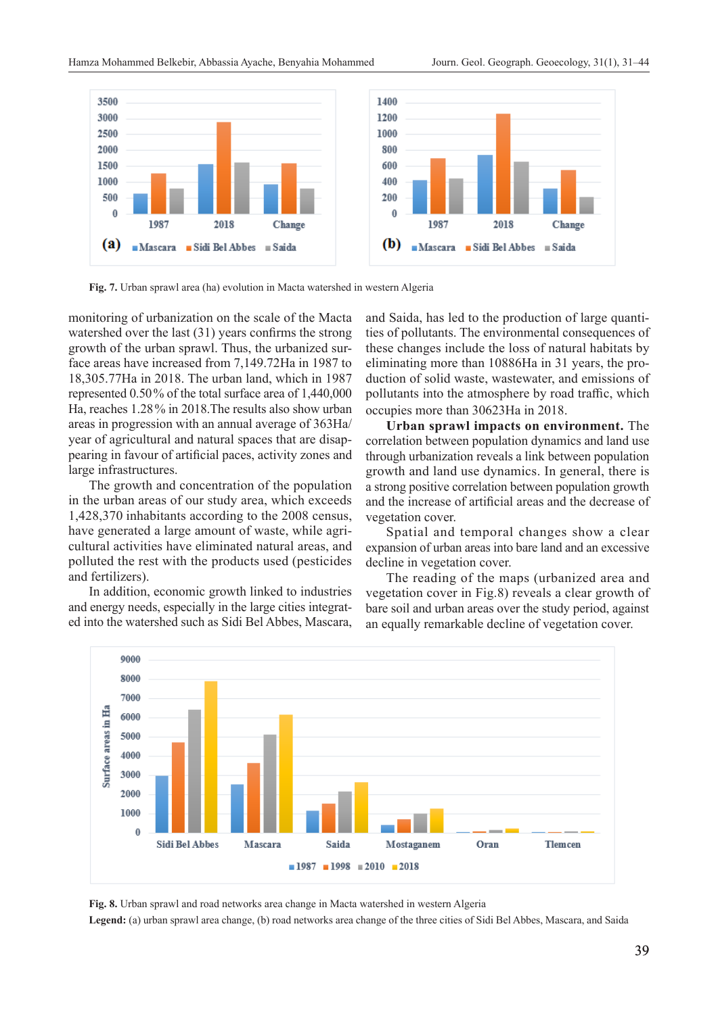![](_page_8_Figure_2.jpeg)

**Fig. 7.** Urban sprawl area (ha) evolution in Macta watershed in western Algeria

monitoring of urbanization on the scale of the Macta watershed over the last (31) years confirms the strong growth of the urban sprawl. Thus, the urbanized surface areas have increased from 7,149.72Ha in 1987 to 18,305.77Ha in 2018. The urban land, which in 1987 represented 0.50% of the total surface area of 1,440,000 Ha, reaches 1.28% in 2018.The results also show urban areas in progression with an annual average of 363Ha/ year of agricultural and natural spaces that are disappearing in favour of artificial paces, activity zones and large infrastructures.

The growth and concentration of the population in the urban areas of our study area, which exceeds 1,428,370 inhabitants according to the 2008 census, have generated a large amount of waste, while agricultural activities have eliminated natural areas, and polluted the rest with the products used (pesticides and fertilizers).

In addition, economic growth linked to industries and energy needs, especially in the large cities integrated into the watershed such as Sidi Bel Abbes, Mascara, and Saida, has led to the production of large quantities of pollutants. The environmental consequences of these changes include the loss of natural habitats by eliminating more than 10886Ha in 31 years, the production of solid waste, wastewater, and emissions of pollutants into the atmosphere by road traffic, which occupies more than 30623Ha in 2018.

**Urban sprawl impacts on environment.** The correlation between population dynamics and land use through urbanization reveals a link between population growth and land use dynamics. In general, there is a strong positive correlation between population growth and the increase of artificial areas and the decrease of vegetation cover.

Spatial and temporal changes show a clear expansion of urban areas into bare land and an excessive decline in vegetation cover.

The reading of the maps (urbanized area and vegetation cover in Fig.8) reveals a clear growth of bare soil and urban areas over the study period, against an equally remarkable decline of vegetation cover.

![](_page_8_Figure_11.jpeg)

**Fig. 8.** Urban sprawl and road networks area change in Macta watershed in western Algeria

**Legend:** (a) urban sprawl area change, (b) road networks area change of the three cities of Sidi Bel Abbes, Mascara, and Saida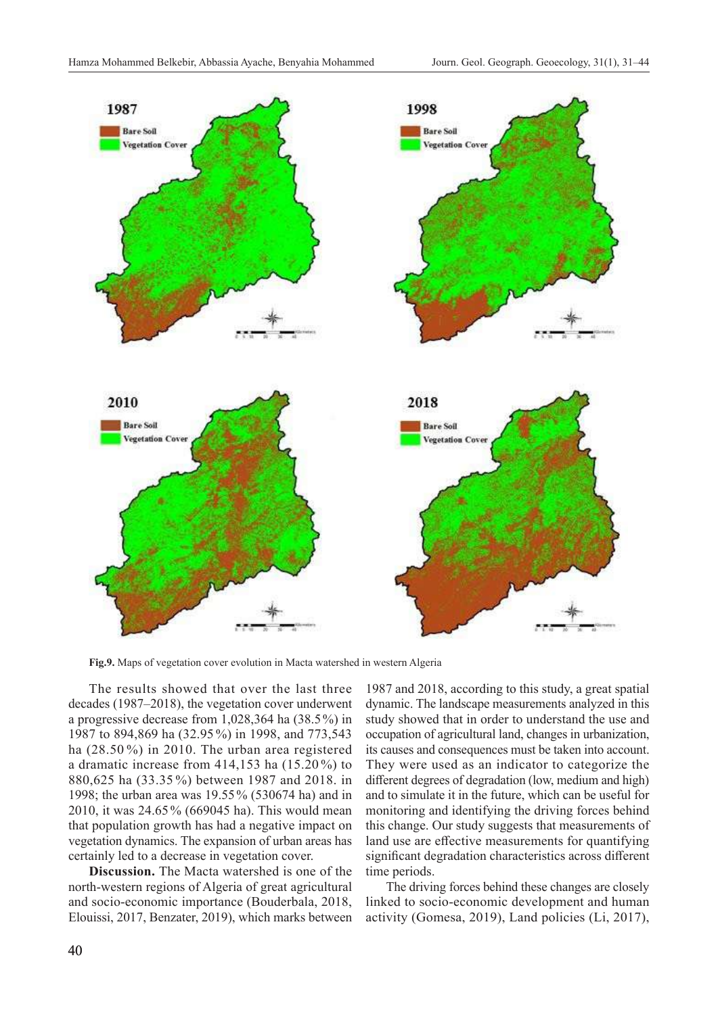![](_page_9_Figure_2.jpeg)

**Fig.9.** Maps of vegetation cover evolution in Macta watershed in western Algeria

The results showed that over the last three decades (1987–2018), the vegetation cover underwent a progressive decrease from 1,028,364 ha (38.5%) in 1987 to 894,869 ha (32.95 %) in 1998, and 773,543 ha (28.50 %) in 2010. The urban area registered a dramatic increase from 414,153 ha (15.20 %) to 880,625 ha (33.35 %) between 1987 and 2018. in 1998; the urban area was 19.55% (530674 ha) and in 2010, it was 24.65% (669045 ha). This would mean that population growth has had a negative impact on vegetation dynamics. The expansion of urban areas has certainly led to a decrease in vegetation cover.

**Discussion.** The Macta watershed is one of the north-western regions of Algeria of great agricultural and socio-economic importance (Bouderbala, 2018, Elouissi, 2017, Benzater, 2019), which marks between

1987 and 2018, according to this study, a great spatial dynamic. The landscape measurements analyzed in this study showed that in order to understand the use and occupation of agricultural land, changes in urbanization, its causes and consequences must be taken into account. They were used as an indicator to categorize the different degrees of degradation (low, medium and high) and to simulate it in the future, which can be useful for monitoring and identifying the driving forces behind this change. Our study suggests that measurements of land use are effective measurements for quantifying significant degradation characteristics across different time periods.

The driving forces behind these changes are closely linked to socio-economic development and human activity (Gomesa, 2019), Land policies (Li, 2017),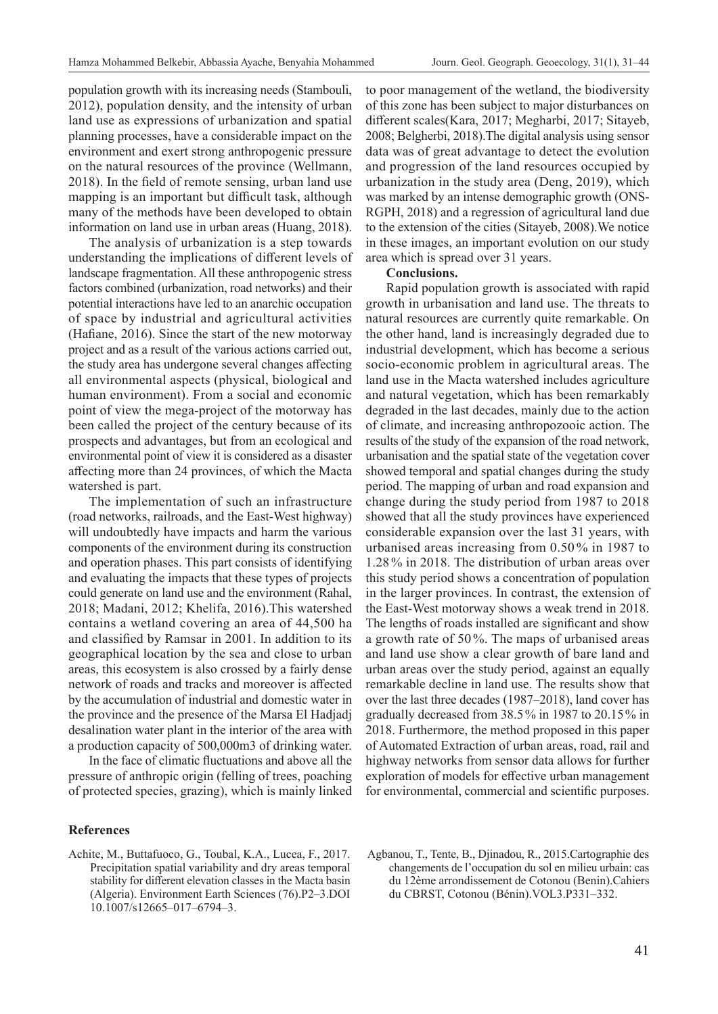population growth with its increasing needs (Stambouli, 2012), population density, and the intensity of urban land use as expressions of urbanization and spatial planning processes, have a considerable impact on the environment and exert strong anthropogenic pressure on the natural resources of the province (Wellmann, 2018). In the field of remote sensing, urban land use mapping is an important but difficult task, although many of the methods have been developed to obtain information on land use in urban areas (Huang, 2018).

The analysis of urbanization is a step towards understanding the implications of different levels of landscape fragmentation. All these anthropogenic stress factors combined (urbanization, road networks) and their potential interactions have led to an anarchic occupation of space by industrial and agricultural activities (Hafiane, 2016). Since the start of the new motorway project and as a result of the various actions carried out, the study area has undergone several changes affecting all environmental aspects (physical, biological and human environment). From a social and economic point of view the mega-project of the motorway has been called the project of the century because of its prospects and advantages, but from an ecological and environmental point of view it is considered as a disaster affecting more than 24 provinces, of which the Macta watershed is part.

The implementation of such an infrastructure (road networks, railroads, and the East-West highway) will undoubtedly have impacts and harm the various components of the environment during its construction and operation phases. This part consists of identifying and evaluating the impacts that these types of projects could generate on land use and the environment (Rahal, 2018; Madani, 2012; Khelifa, 2016).This watershed contains a wetland covering an area of 44,500 ha and classified by Ramsar in 2001. In addition to its geographical location by the sea and close to urban areas, this ecosystem is also crossed by a fairly dense network of roads and tracks and moreover is affected by the accumulation of industrial and domestic water in the province and the presence of the Marsa El Hadjadj desalination water plant in the interior of the area with a production capacity of 500,000m3 of drinking water.

In the face of climatic fluctuations and above all the pressure of anthropic origin (felling of trees, poaching of protected species, grazing), which is mainly linked

### **References**

Achite, M., Buttafuoco, G., Toubal, K.A., Lucea, F., 2017. Precipitation spatial variability and dry areas temporal stability for different elevation classes in the Macta basin (Algeria). Environment Earth Sciences (76).P2–3.DOI 10.1007/s12665–017–6794–3.

to poor management of the wetland, the biodiversity of this zone has been subject to major disturbances on different scales(Kara, 2017; Megharbi, 2017; Sitayeb, 2008; Belgherbi, 2018).The digital analysis using sensor data was of great advantage to detect the evolution and progression of the land resources occupied by urbanization in the study area (Deng, 2019), which was marked by an intense demographic growth (ONS-RGPH, 2018) and a regression of agricultural land due to the extension of the cities (Sitayeb, 2008).We notice in these images, an important evolution on our study area which is spread over 31 years.

#### **Conclusions.**

Rapid population growth is associated with rapid growth in urbanisation and land use. The threats to natural resources are currently quite remarkable. On the other hand, land is increasingly degraded due to industrial development, which has become a serious socio-economic problem in agricultural areas. The land use in the Macta watershed includes agriculture and natural vegetation, which has been remarkably degraded in the last decades, mainly due to the action of climate, and increasing anthropozooic action. The results of the study of the expansion of the road network, urbanisation and the spatial state of the vegetation cover showed temporal and spatial changes during the study period. The mapping of urban and road expansion and change during the study period from 1987 to 2018 showed that all the study provinces have experienced considerable expansion over the last 31 years, with urbanised areas increasing from 0.50 % in 1987 to 1.28% in 2018. The distribution of urban areas over this study period shows a concentration of population in the larger provinces. In contrast, the extension of the East-West motorway shows a weak trend in 2018. The lengths of roads installed are significant and show a growth rate of 50%. The maps of urbanised areas and land use show a clear growth of bare land and urban areas over the study period, against an equally remarkable decline in land use. The results show that over the last three decades (1987–2018), land cover has gradually decreased from 38.5% in 1987 to 20.15% in 2018. Furthermore, the method proposed in this paper of Automated Extraction of urban areas, road, rail and highway networks from sensor data allows for further exploration of models for effective urban management for environmental, commercial and scientific purposes.

Agbanou, T., Tente, B., Djinadou, R., 2015.Cartographie des changements de l'occupation du sol en milieu urbain: cas du 12ème arrondissement de Cotonou (Benin).Cahiers du CBRST, Cotonou (Bénin).VOL3.P331–332.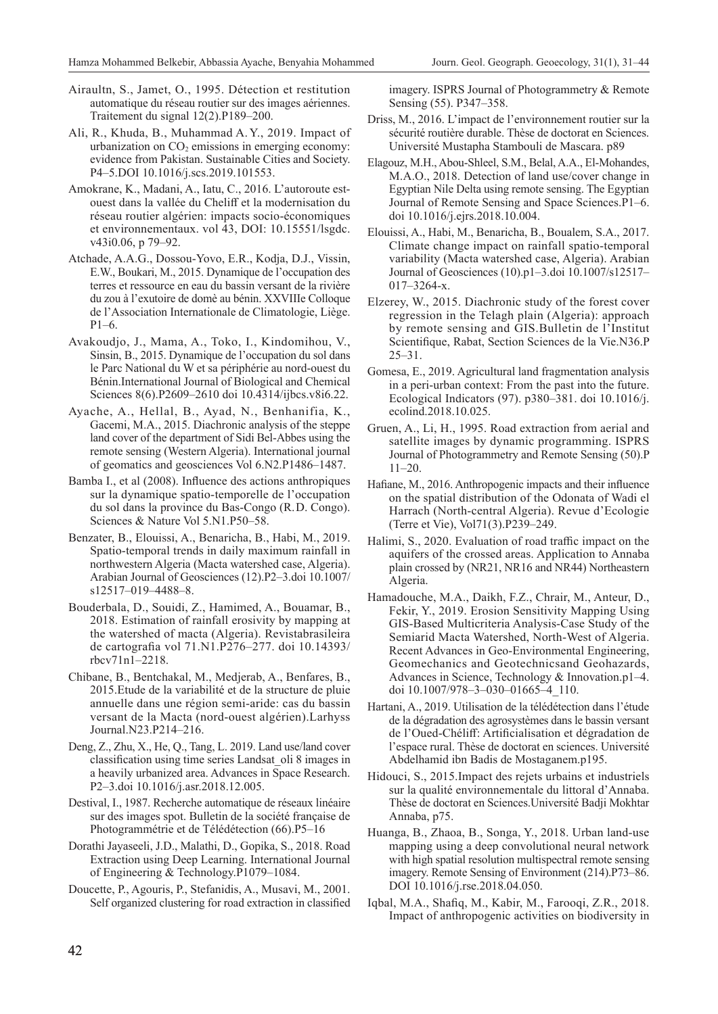- Airaultn, S., Jamet, O., 1995. Détection et restitution automatique du réseau routier sur des images aériennes. Traitement du signal 12(2).P189–200.
- Ali, R., Khuda, B., Muhammad A. Y., 2019. Impact of urbanization on  $CO<sub>2</sub>$  emissions in emerging economy: evidence from Pakistan. Sustainable Cities and Society. P4–5.DOI 10.1016/j.scs.2019.101553.
- Amokrane, K., Madani, A., Iatu, C., 2016. L'autoroute estouest dans la vallée du Cheliff et la modernisation du réseau routier algérien: impacts socio-économiques et environnementaux. vol 43, DOI: 10.15551/lsgdc. v43i0.06, p 79–92.
- Atchade, A.A.G., Dossou-Yovo, E.R., Kodja, D.J., Vissin, E.W., Boukari, M., 2015. Dynamique de l'occupation des terres et ressource en eau du bassin versant de la rivière du zou à l'exutoire de domè au bénin. XXVIIIe Colloque de l'Association Internationale de Climatologie, Liège. P1–6.
- Avakoudjo, J., Mama, A., Toko, I., Kindomihou, V., Sinsin, B., 2015. Dynamique de l'occupation du sol dans le Parc National du W et sa périphérie au nord-ouest du Bénin.International Journal of Biological and Chemical Sciences 8(6).P2609–2610 doi 10.4314/ijbcs.v8i6.22.
- Ayache, A., Hellal, B., Ayad, N., Benhanifia, K., Gacemi, M.A., 2015. Diachronic analysis of the steppe land cover of the department of Sidi Bel-Abbes using the remote sensing (Western Algeria). International journal of geomatics and geosciences Vol 6.N2.P1486–1487.
- Bamba I., et al (2008). Influence des actions anthropiques sur la dynamique spatio-temporelle de l'occupation du sol dans la province du Bas-Congo (R. D. Congo). Sciences & Nature Vol 5.N1.P50–58.
- Benzater, B., Elouissi, A., Benaricha, B., Habi, M., 2019. Spatio-temporal trends in daily maximum rainfall in northwestern Algeria (Macta watershed case, Algeria). Arabian Journal of Geosciences (12).P2–3.doi 10.1007/ s12517–019–4488–8.
- Bouderbala, D., Souidi, Z., Hamimed, A., Bouamar, B., 2018. Estimation of rainfall erosivity by mapping at the watershed of macta (Algeria). Revistabrasileira de cartografia vol 71.N1.P276–277. doi 10.14393/ rbcv71n1–2218.
- Chibane, B., Bentchakal, M., Medjerab, A., Benfares, B., 2015.Etude de la variabilité et de la structure de pluie annuelle dans une région semi-aride: cas du bassin versant de la Macta (nord-ouest algérien).Larhyss Journal.N23.P214–216.
- Deng, Z., Zhu, X., He, Q., Tang, L. 2019. Land use/land cover classification using time series Landsat\_oli 8 images in a heavily urbanized area. Advances in Space Research. P2–3.doi 10.1016/j.asr.2018.12.005.
- Destival, I., 1987. Recherche automatique de réseaux linéaire sur des images spot. Bulletin de la société française de Photogrammétrie et de Télédétection (66).P5–16
- Dorathi Jayaseeli, J.D., Malathi, D., Gopika, S., 2018. Road Extraction using Deep Learning. International Journal of Engineering & Technology.P1079–1084.
- Doucette, P., Agouris, P., Stefanidis, A., Musavi, M., 2001. Self organized clustering for road extraction in classified

imagery. ISPRS Journal of Photogrammetry & Remote Sensing (55). P347–358.

- Driss, M., 2016. L'impact de l'environnement routier sur la sécurité routière durable. Thèse de doctorat en Sciences. Université Mustapha Stambouli de Mascara. p89
- Elagouz, M.H., Abou-Shleel, S.M., Belal, A.A., El-Mohandes, M.A.O., 2018. Detection of land use/cover change in Egyptian Nile Delta using remote sensing. The Egyptian Journal of Remote Sensing and Space Sciences.P1–6. doi 10.1016/j.ejrs.2018.10.004.
- Elouissi, A., Habi, M., Benaricha, B., Boualem, S.A., 2017. Climate change impact on rainfall spatio-temporal variability (Macta watershed case, Algeria). Arabian Journal of Geosciences (10).p1–3.doi 10.1007/s12517– 017–3264‑x.
- Elzerey, W., 2015. Diachronic study of the forest cover regression in the Telagh plain (Algeria): approach by remote sensing and GIS.Bulletin de l'Institut Scientifique, Rabat, Section Sciences de la Vie.N36.P  $25 - 31$ .
- Gomesa, E., 2019. Agricultural land fragmentation analysis in a peri-urban context: From the past into the future. Ecological Indicators (97). p380–381. doi 10.1016/j. ecolind.2018.10.025.
- Gruen, A., Li, H., 1995. Road extraction from aerial and satellite images by dynamic programming. ISPRS Journal of Photogrammetry and Remote Sensing (50).P 11–20.
- Hafiane, M., 2016. Anthropogenic impacts and their influence on the spatial distribution of the Odonata of Wadi el Harrach (North-central Algeria). Revue d'Ecologie (Terre et Vie), Vol71(3).P239–249.
- Halimi, S., 2020. Evaluation of road traffic impact on the aquifers of the crossed areas. Application to Annaba plain crossed by (NR21, NR16 and NR44) Northeastern Algeria.
- Hamadouche, M.A., Daikh, F.Z., Chrair, M., Anteur, D., Fekir, Y., 2019. Erosion Sensitivity Mapping Using GIS-Based Multicriteria Analysis-Case Study of the Semiarid Macta Watershed, North-West of Algeria. Recent Advances in Geo-Environmental Engineering, Geomechanics and Geotechnicsand Geohazards, Advances in Science, Technology & Innovation.p1–4. doi 10.1007/978–3–030–01665–4\_110.
- Hartani, A., 2019. Utilisation de la télédétection dans l'étude de la dégradation des agrosystèmes dans le bassin versant de l'Oued-Chéliff: Artificialisation et dégradation de l'espace rural. Thèse de doctorat en sciences. Université Abdelhamid ibn Badis de Mostaganem.p195.
- Hidouci, S., 2015.Impact des rejets urbains et industriels sur la qualité environnementale du littoral d'Annaba. Thèse de doctorat en Sciences.Université Badji Mokhtar Annaba, p75.
- Huanga, B., Zhaoa, B., Songa, Y., 2018. Urban land-use mapping using a deep convolutional neural network with high spatial resolution multispectral remote sensing imagery. Remote Sensing of Environment (214).P73–86. DOI 10.1016/j.rse.2018.04.050.
- Iqbal, M.A., Shafiq, M., Kabir, M., Farooqi, Z.R., 2018. Impact of anthropogenic activities on biodiversity in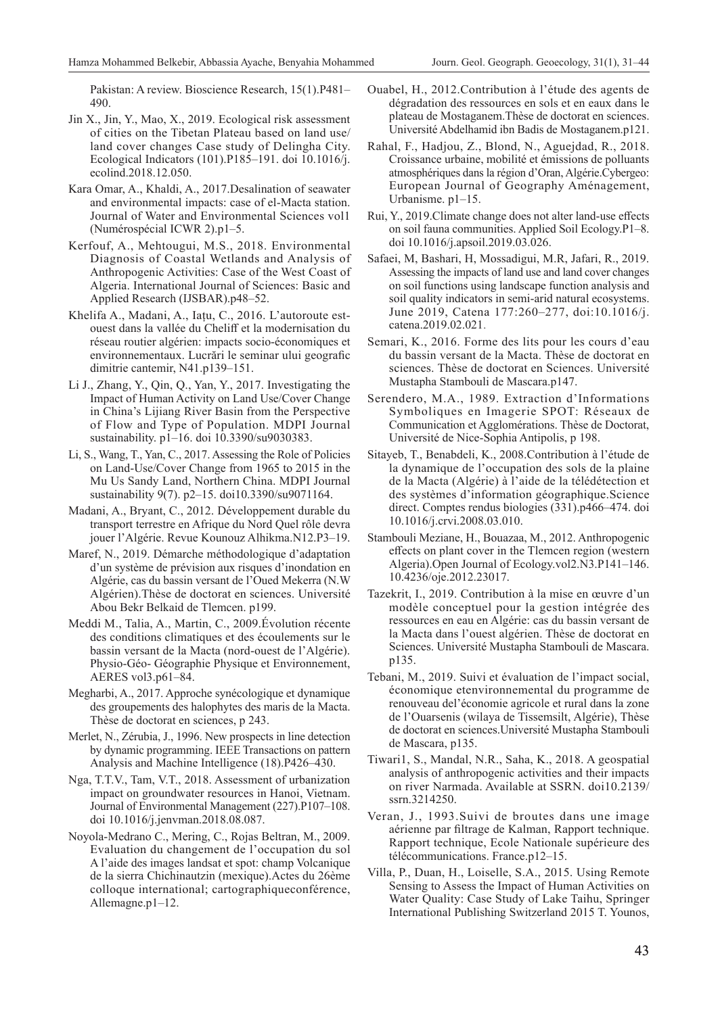Pakistan: A review. Bioscience Research, 15(1).P481– 490.

- Jin X., Jin, Y., Mao, X., 2019. Ecological risk assessment of cities on the Tibetan Plateau based on land use/ land cover changes Case study of Delingha City. Ecological Indicators (101).P185–191. doi 10.1016/j. ecolind.2018.12.050.
- Kara Omar, A., Khaldi, A., 2017.Desalination of seawater and environmental impacts: case of el-Macta station. Journal of Water and Environmental Sciences vol1 (Numérospécial ICWR 2).p1–5.
- Kerfouf, A., Mehtougui, M.S., 2018. Environmental Diagnosis of Coastal Wetlands and Analysis of Anthropogenic Activities: Case of the West Coast of Algeria. International Journal of Sciences: Basic and Applied Research (IJSBAR).p48–52.
- Khelifa A., Madani, A., Iațu, C., 2016. L'autoroute estouest dans la vallée du Cheliff et la modernisation du réseau routier algérien: impacts socio-économiques et environnementaux. Lucrări le seminar ului geografic dimitrie cantemir, N41.p139–151.
- Li J., Zhang, Y., Qin, Q., Yan, Y., 2017. Investigating the Impact of Human Activity on Land Use/Cover Change in China's Lijiang River Basin from the Perspective of Flow and Type of Population. MDPI Journal sustainability. p1–16. doi 10.3390/su9030383.
- Li, S., Wang, T., Yan, C., 2017. Assessing the Role of Policies on Land-Use/Cover Change from 1965 to 2015 in the Mu Us Sandy Land, Northern China. MDPI Journal sustainability 9(7). p2–15. doi10.3390/su9071164.
- Madani, A., Bryant, C., 2012. Développement durable du transport terrestre en Afrique du Nord Quel rôle devra jouer l'Algérie. Revue Kounouz Alhikma.N12.P3–19.
- Maref, N., 2019. Démarche méthodologique d'adaptation d'un système de prévision aux risques d'inondation en Algérie, cas du bassin versant de l'Oued Mekerra (N.W Algérien).Thèse de doctorat en sciences. Université Abou Bekr Belkaid de Tlemcen. p199.
- Meddi M., Talia, A., Martin, C., 2009.Évolution récente des conditions climatiques et des écoulements sur le bassin versant de la Macta (nord-ouest de l'Algérie). Physio-Géo- Géographie Physique et Environnement, AERES vol3.p61–84.
- Megharbi, A., 2017. Approche synécologique et dynamique des groupements des halophytes des maris de la Macta. Thèse de doctorat en sciences, p 243.
- Merlet, N., Zérubia, J., 1996. New prospects in line detection by dynamic programming. IEEE Transactions on pattern Analysis and Machine Intelligence (18).P426–430.
- Nga, T.T.V., Tam, V.T., 2018. Assessment of urbanization impact on groundwater resources in Hanoi, Vietnam. Journal of Environmental Management (227).P107–108. doi 10.1016/j.jenvman.2018.08.087.
- Noyola-Medrano C., Mering, C., Rojas Beltran, M., 2009. Evaluation du changement de l'occupation du sol A l'aide des images landsat et spot: champ Volcanique de la sierra Chichinautzin (mexique).Actes du 26ème colloque international; cartographiqueconférence, Allemagne.p1–12.
- Ouabel, H., 2012.Contribution à l'étude des agents de dégradation des ressources en sols et en eaux dans le plateau de Mostaganem.Thèse de doctorat en sciences. Université Abdelhamid ibn Badis de Mostaganem.p121.
- Rahal, F., Hadjou, Z., Blond, N., Aguejdad, R., 2018. Croissance urbaine, mobilité et émissions de polluants atmosphériques dans la région d'Oran, Algérie.Cybergeo: European Journal of Geography Aménagement, Urbanisme. p1–15.
- Rui, Y., 2019.Climate change does not alter land-use effects on soil fauna communities. Applied Soil Ecology.P1–8. doi 10.1016/j.apsoil.2019.03.026.
- Safaei, M, Bashari, H, Mossadigui, M.R, Jafari, R., 2019. Assessing the impacts of land use and land cover changes on soil functions using landscape function analysis and soil quality indicators in semi-arid natural ecosystems. June 2019, Catena 177:260–277, doi:10.1016/j. catena.2019.02.021.
- Semari, K., 2016. Forme des lits pour les cours d'eau du bassin versant de la Macta. Thèse de doctorat en sciences. Thèse de doctorat en Sciences. Université Mustapha Stambouli de Mascara.p147.
- Serendero, M.A., 1989. Extraction d'Informations Symboliques en Imagerie SPOT: Réseaux de Communication et Agglomérations. Thèse de Doctorat, Université de Nice-Sophia Antipolis, p 198.
- Sitayeb, T., Benabdeli, K., 2008.Contribution à l'étude de la dynamique de l'occupation des sols de la plaine de la Macta (Algérie) à l'aide de la télédétection et des systèmes d'information géographique.Science direct. Comptes rendus biologies (331).p466–474. doi 10.1016/j.crvi.2008.03.010.
- Stambouli Meziane, H., Bouazaa, M., 2012. Anthropogenic effects on plant cover in the Tlemcen region (western Algeria).Open Journal of Ecology.vol2.N3.P141–146. 10.4236/oje.2012.23017.
- Tazekrit, I., 2019. Contribution à la mise en œuvre d'un modèle conceptuel pour la gestion intégrée des ressources en eau en Algérie: cas du bassin versant de la Macta dans l'ouest algérien. Thèse de doctorat en Sciences. Université Mustapha Stambouli de Mascara. p135.
- Tebani, M., 2019. Suivi et évaluation de l'impact social, économique etenvironnemental du programme de renouveau del'économie agricole et rural dans la zone de l'Ouarsenis (wilaya de Tissemsilt, Algérie), Thèse de doctorat en sciences.Université Mustapha Stambouli de Mascara, p135.
- Tiwari1, S., Mandal, N.R., Saha, K., 2018. A geospatial analysis of anthropogenic activities and their impacts on river Narmada. Available at SSRN. doi10.2139/ ssrn.3214250.
- Veran, J., 1993.Suivi de broutes dans une image aérienne par filtrage de Kalman, Rapport technique. Rapport technique, Ecole Nationale supérieure des télécommunications. France.p12–15.
- Villa, P., Duan, H., Loiselle, S.A., 2015. Using Remote Sensing to Assess the Impact of Human Activities on Water Quality: Case Study of Lake Taihu, Springer International Publishing Switzerland 2015 T. Younos,